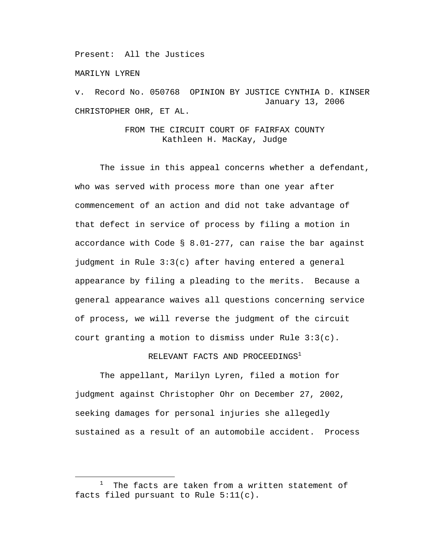Present: All the Justices

MARILYN LYREN

v. Record No. 050768 OPINION BY JUSTICE CYNTHIA D. KINSER January 13, 2006 CHRISTOPHER OHR, ET AL.

> FROM THE CIRCUIT COURT OF FAIRFAX COUNTY Kathleen H. MacKay, Judge

 The issue in this appeal concerns whether a defendant, who was served with process more than one year after commencement of an action and did not take advantage of that defect in service of process by filing a motion in accordance with Code § 8.01-277, can raise the bar against judgment in Rule 3:3(c) after having entered a general appearance by filing a pleading to the merits. Because a general appearance waives all questions concerning service of process, we will reverse the judgment of the circuit court granting a motion to dismiss under Rule 3:3(c).

RELEVANT FACTS AND PROCEEDINGS<sup>1</sup>

 The appellant, Marilyn Lyren, filed a motion for judgment against Christopher Ohr on December 27, 2002, seeking damages for personal injuries she allegedly sustained as a result of an automobile accident. Process

 $\begin{array}{c|c}\n\hline\n\text{1}\n\end{array}$  $1$  The facts are taken from a written statement of facts filed pursuant to Rule 5:11(c).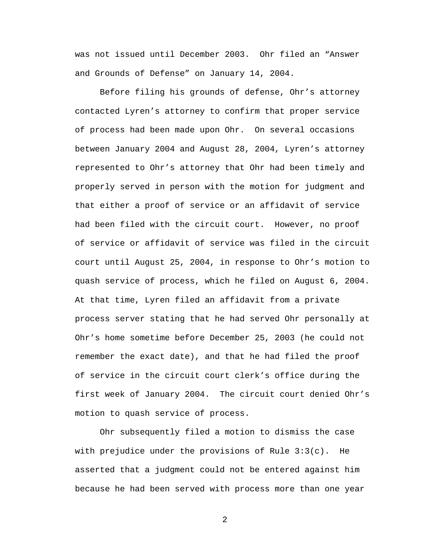was not issued until December 2003. Ohr filed an "Answer and Grounds of Defense" on January 14, 2004.

Before filing his grounds of defense, Ohr's attorney contacted Lyren's attorney to confirm that proper service of process had been made upon Ohr. On several occasions between January 2004 and August 28, 2004, Lyren's attorney represented to Ohr's attorney that Ohr had been timely and properly served in person with the motion for judgment and that either a proof of service or an affidavit of service had been filed with the circuit court. However, no proof of service or affidavit of service was filed in the circuit court until August 25, 2004, in response to Ohr's motion to quash service of process, which he filed on August 6, 2004. At that time, Lyren filed an affidavit from a private process server stating that he had served Ohr personally at Ohr's home sometime before December 25, 2003 (he could not remember the exact date), and that he had filed the proof of service in the circuit court clerk's office during the first week of January 2004. The circuit court denied Ohr's motion to quash service of process.

Ohr subsequently filed a motion to dismiss the case with prejudice under the provisions of Rule  $3:3(c)$ . He asserted that a judgment could not be entered against him because he had been served with process more than one year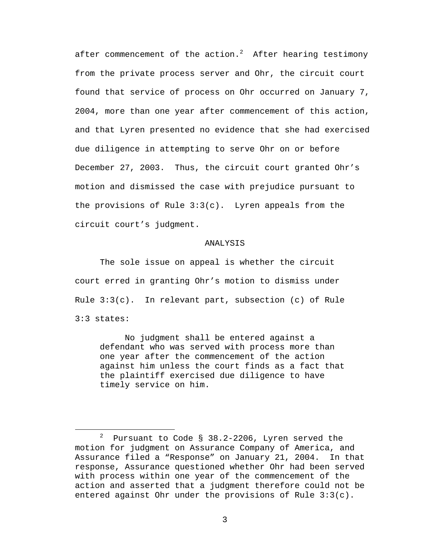after commencement of the action. $^2$  After hearing testimony from the private process server and Ohr, the circuit court found that service of process on Ohr occurred on January 7, 2004, more than one year after commencement of this action, and that Lyren presented no evidence that she had exercised due diligence in attempting to serve Ohr on or before December 27, 2003. Thus, the circuit court granted Ohr's motion and dismissed the case with prejudice pursuant to the provisions of Rule 3:3(c). Lyren appeals from the circuit court's judgment.

## ANALYSIS

The sole issue on appeal is whether the circuit court erred in granting Ohr's motion to dismiss under Rule  $3:3(c)$ . In relevant part, subsection (c) of Rule 3:3 states:

No judgment shall be entered against a defendant who was served with process more than one year after the commencement of the action against him unless the court finds as a fact that the plaintiff exercised due diligence to have timely service on him.

 $\overline{\phantom{a}}$  Pursuant to Code § 38.2-2206, Lyren served the motion for judgment on Assurance Company of America, and Assurance filed a "Response" on January 21, 2004. In that response, Assurance questioned whether Ohr had been served with process within one year of the commencement of the action and asserted that a judgment therefore could not be entered against Ohr under the provisions of Rule 3:3(c).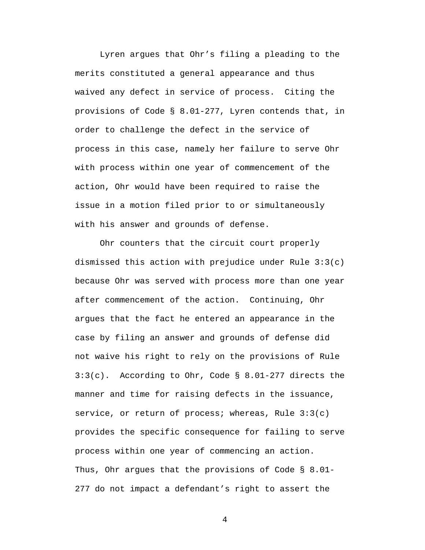Lyren argues that Ohr's filing a pleading to the merits constituted a general appearance and thus waived any defect in service of process. Citing the provisions of Code § 8.01-277, Lyren contends that, in order to challenge the defect in the service of process in this case, namely her failure to serve Ohr with process within one year of commencement of the action, Ohr would have been required to raise the issue in a motion filed prior to or simultaneously with his answer and grounds of defense.

Ohr counters that the circuit court properly dismissed this action with prejudice under Rule 3:3(c) because Ohr was served with process more than one year after commencement of the action. Continuing, Ohr argues that the fact he entered an appearance in the case by filing an answer and grounds of defense did not waive his right to rely on the provisions of Rule  $3:3(c)$ . According to Ohr, Code § 8.01-277 directs the manner and time for raising defects in the issuance, service, or return of process; whereas, Rule  $3:3(c)$ provides the specific consequence for failing to serve process within one year of commencing an action. Thus, Ohr argues that the provisions of Code § 8.01- 277 do not impact a defendant's right to assert the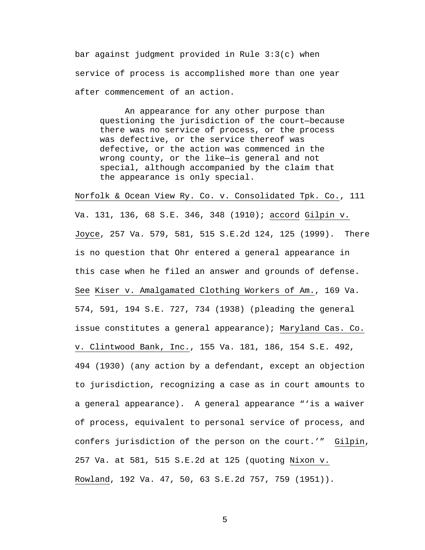bar against judgment provided in Rule 3:3(c) when service of process is accomplished more than one year after commencement of an action.

An appearance for any other purpose than questioning the jurisdiction of the court—because there was no service of process, or the process was defective, or the service thereof was defective, or the action was commenced in the wrong county, or the like—is general and not special, although accompanied by the claim that the appearance is only special.

Norfolk & Ocean View Ry. Co. v. Consolidated Tpk. Co., 111 Va. 131, 136, 68 S.E. 346, 348 (1910); accord Gilpin v. Joyce, 257 Va. 579, 581, 515 S.E.2d 124, 125 (1999). There is no question that Ohr entered a general appearance in this case when he filed an answer and grounds of defense. See Kiser v. Amalgamated Clothing Workers of Am., 169 Va. 574, 591, 194 S.E. 727, 734 (1938) (pleading the general issue constitutes a general appearance); Maryland Cas. Co. v. Clintwood Bank, Inc., 155 Va. 181, 186, 154 S.E. 492, 494 (1930) (any action by a defendant, except an objection to jurisdiction, recognizing a case as in court amounts to a general appearance). A general appearance "'is a waiver of process, equivalent to personal service of process, and confers jurisdiction of the person on the court.'" Gilpin, 257 Va. at 581, 515 S.E.2d at 125 (quoting Nixon v. Rowland, 192 Va. 47, 50, 63 S.E.2d 757, 759 (1951)).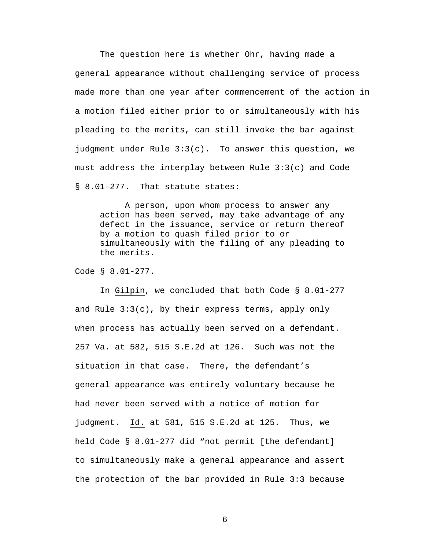The question here is whether Ohr, having made a general appearance without challenging service of process made more than one year after commencement of the action in a motion filed either prior to or simultaneously with his pleading to the merits, can still invoke the bar against judgment under Rule 3:3(c). To answer this question, we must address the interplay between Rule 3:3(c) and Code § 8.01-277. That statute states:

A person, upon whom process to answer any action has been served, may take advantage of any defect in the issuance, service or return thereof by a motion to quash filed prior to or simultaneously with the filing of any pleading to the merits.

Code § 8.01-277.

 In Gilpin, we concluded that both Code § 8.01-277 and Rule  $3:3(c)$ , by their express terms, apply only when process has actually been served on a defendant. 257 Va. at 582, 515 S.E.2d at 126. Such was not the situation in that case. There, the defendant's general appearance was entirely voluntary because he had never been served with a notice of motion for judgment. Id. at 581, 515 S.E.2d at 125. Thus, we held Code § 8.01-277 did "not permit [the defendant] to simultaneously make a general appearance and assert the protection of the bar provided in Rule 3:3 because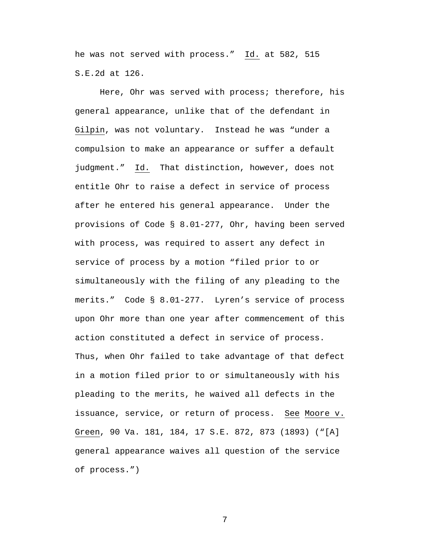he was not served with process." Id. at 582, 515 S.E.2d at 126.

 Here, Ohr was served with process; therefore, his general appearance, unlike that of the defendant in Gilpin, was not voluntary. Instead he was "under a compulsion to make an appearance or suffer a default judgment." Id. That distinction, however, does not entitle Ohr to raise a defect in service of process after he entered his general appearance. Under the provisions of Code § 8.01-277, Ohr, having been served with process, was required to assert any defect in service of process by a motion "filed prior to or simultaneously with the filing of any pleading to the merits." Code § 8.01-277. Lyren's service of process upon Ohr more than one year after commencement of this action constituted a defect in service of process. Thus, when Ohr failed to take advantage of that defect in a motion filed prior to or simultaneously with his pleading to the merits, he waived all defects in the issuance, service, or return of process. See Moore v. Green, 90 Va. 181, 184, 17 S.E. 872, 873 (1893) ("[A] general appearance waives all question of the service of process.")